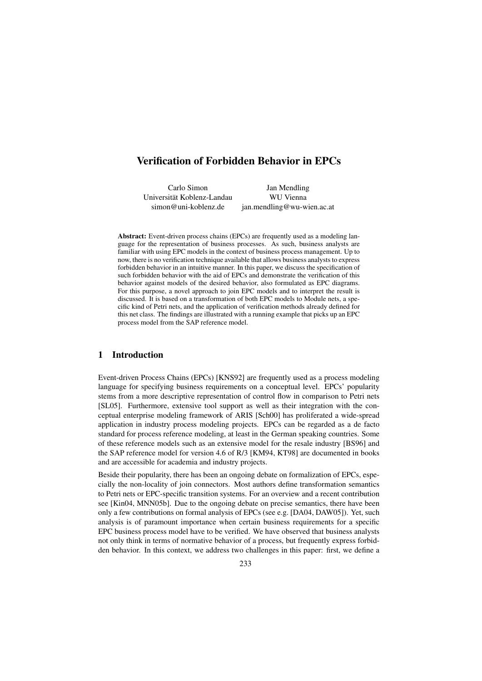# **Verification of Forbidden Behavior in EPCs**

Carlo Simon Jan Mendling Universitat Koblenz-Landau WU Vienna ¨ simon@uni-koblenz.de jan.mendling@wu-wien.ac.at

**Abstract:** Event-driven process chains (EPCs) are frequently used as a modeling language for the representation of business processes. As such, business analysts are familiar with using EPC models in the context of business process management. Up to now, there is no verification technique available that allows business analysts to express forbidden behavior in an intuitive manner. In this paper, we discuss the specification of such forbidden behavior with the aid of EPCs and demonstrate the verification of this behavior against models of the desired behavior, also formulated as EPC diagrams. For this purpose, a novel approach to join EPC models and to interpret the result is discussed. It is based on a transformation of both EPC models to Module nets, a specific kind of Petri nets, and the application of verification methods already defined for this net class. The findings are illustrated with a running example that picks up an EPC process model from the SAP reference model.

## **1 Introduction**

Event-driven Process Chains (EPCs) [KNS92] are frequently used as a process modeling language for specifying business requirements on a conceptual level. EPCs' popularity stems from a more descriptive representation of control flow in comparison to Petri nets [SL05]. Furthermore, extensive tool support as well as their integration with the conceptual enterprise modeling framework of ARIS [Sch00] has proliferated a wide-spread application in industry process modeling projects. EPCs can be regarded as a de facto standard for process reference modeling, at least in the German speaking countries. Some of these reference models such as an extensive model for the resale industry [BS96] and the SAP reference model for version 4.6 of R/3 [KM94, KT98] are documented in books and are accessible for academia and industry projects.

Beside their popularity, there has been an ongoing debate on formalization of EPCs, especially the non-locality of join connectors. Most authors define transformation semantics to Petri nets or EPC-specific transition systems. For an overview and a recent contribution see [Kin04, MNN05b]. Due to the ongoing debate on precise semantics, there have been only a few contributions on formal analysis of EPCs (see e.g. [DA04, DAW05]). Yet, such analysis is of paramount importance when certain business requirements for a specific EPC business process model have to be verified. We have observed that business analysts not only think in terms of normative behavior of a process, but frequently express forbidden behavior. In this context, we address two challenges in this paper: first, we define a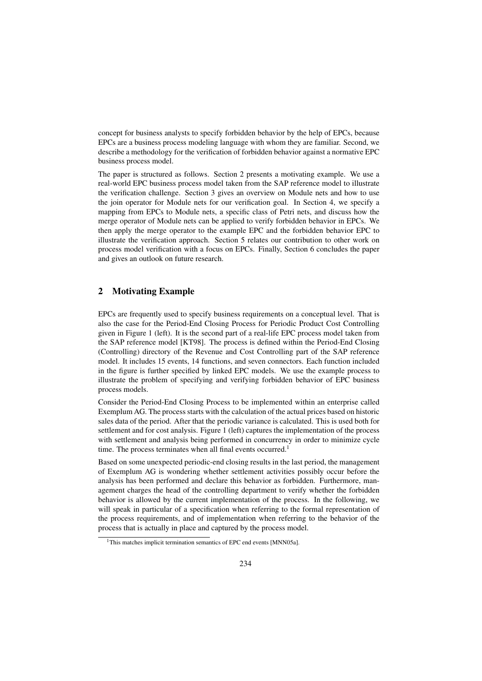concept for business analysts to specify forbidden behavior by the help of EPCs, because EPCs are a business process modeling language with whom they are familiar. Second, we describe a methodology for the verification of forbidden behavior against a normative EPC business process model.

The paper is structured as follows. Section 2 presents a motivating example. We use a real-world EPC business process model taken from the SAP reference model to illustrate the verification challenge. Section 3 gives an overview on Module nets and how to use the join operator for Module nets for our verification goal. In Section 4, we specify a mapping from EPCs to Module nets, a specific class of Petri nets, and discuss how the merge operator of Module nets can be applied to verify forbidden behavior in EPCs. We then apply the merge operator to the example EPC and the forbidden behavior EPC to illustrate the verification approach. Section 5 relates our contribution to other work on process model verification with a focus on EPCs. Finally, Section 6 concludes the paper and gives an outlook on future research.

#### **2 Motivating Example**

EPCs are frequently used to specify business requirements on a conceptual level. That is also the case for the Period-End Closing Process for Periodic Product Cost Controlling given in Figure 1 (left). It is the second part of a real-life EPC process model taken from the SAP reference model [KT98]. The process is defined within the Period-End Closing (Controlling) directory of the Revenue and Cost Controlling part of the SAP reference model. It includes 15 events, 14 functions, and seven connectors. Each function included in the figure is further specified by linked EPC models. We use the example process to illustrate the problem of specifying and verifying forbidden behavior of EPC business process models.

Consider the Period-End Closing Process to be implemented within an enterprise called Exemplum AG. The process starts with the calculation of the actual prices based on historic sales data of the period. After that the periodic variance is calculated. This is used both for settlement and for cost analysis. Figure 1 (left) captures the implementation of the process with settlement and analysis being performed in concurrency in order to minimize cycle time. The process terminates when all final events occurred.<sup>1</sup>

Based on some unexpected periodic-end closing results in the last period, the management of Exemplum AG is wondering whether settlement activities possibly occur before the analysis has been performed and declare this behavior as forbidden. Furthermore, management charges the head of the controlling department to verify whether the forbidden behavior is allowed by the current implementation of the process. In the following, we will speak in particular of a specification when referring to the formal representation of the process requirements, and of implementation when referring to the behavior of the process that is actually in place and captured by the process model.

<sup>&</sup>lt;sup>1</sup>This matches implicit termination semantics of EPC end events [MNN05a].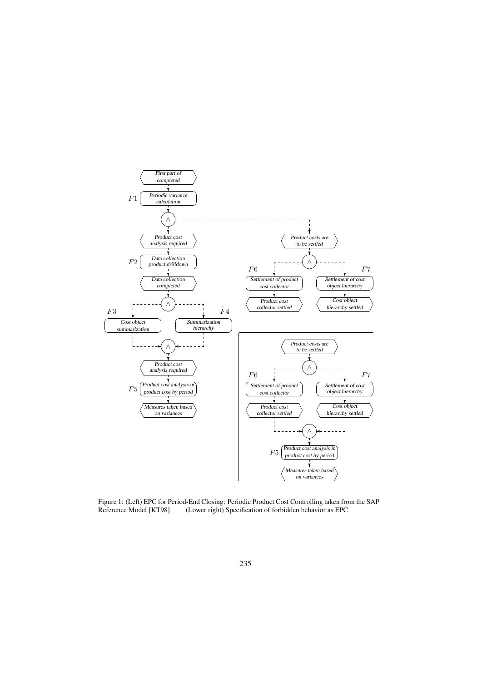

Figure 1: (Left) EPC for Period-End Closing: Periodic Product Cost Controlling taken from the SAP Reference Model [KT98] (Lower right) Specification of forbidden behavior as EPC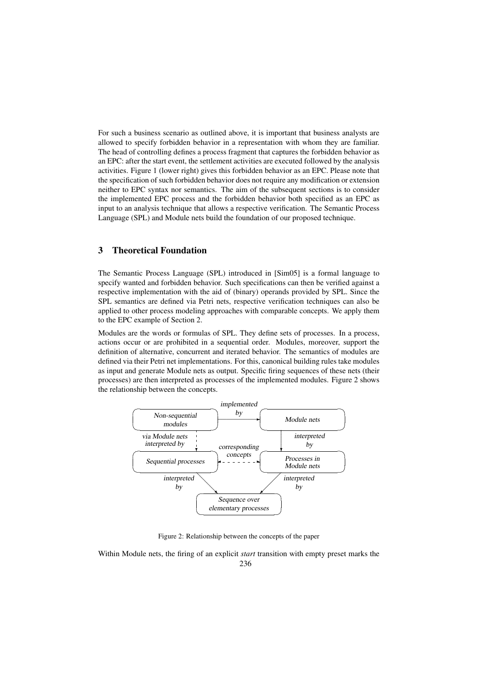For such a business scenario as outlined above, it is important that business analysts are allowed to specify forbidden behavior in a representation with whom they are familiar. The head of controlling defines a process fragment that captures the forbidden behavior as an EPC: after the start event, the settlement activities are executed followed by the analysis activities. Figure 1 (lower right) gives this forbidden behavior as an EPC. Please note that the specification of such forbidden behavior does not require any modification or extension neither to EPC syntax nor semantics. The aim of the subsequent sections is to consider the implemented EPC process and the forbidden behavior both specified as an EPC as input to an analysis technique that allows a respective verification. The Semantic Process Language (SPL) and Module nets build the foundation of our proposed technique.

# **3 Theoretical Foundation**

The Semantic Process Language (SPL) introduced in [Sim05] is a formal language to specify wanted and forbidden behavior. Such specifications can then be verified against a respective implementation with the aid of (binary) operands provided by SPL. Since the SPL semantics are defined via Petri nets, respective verification techniques can also be applied to other process modeling approaches with comparable concepts. We apply them to the EPC example of Section 2.

Modules are the words or formulas of SPL. They define sets of processes. In a process, actions occur or are prohibited in a sequential order. Modules, moreover, support the definition of alternative, concurrent and iterated behavior. The semantics of modules are defined via their Petri net implementations. For this, canonical building rules take modules as input and generate Module nets as output. Specific firing sequences of these nets (their processes) are then interpreted as processes of the implemented modules. Figure 2 shows the relationship between the concepts.



Figure 2: Relationship between the concepts of the paper

Within Module nets, the firing of an explicit *start* transition with empty preset marks the 236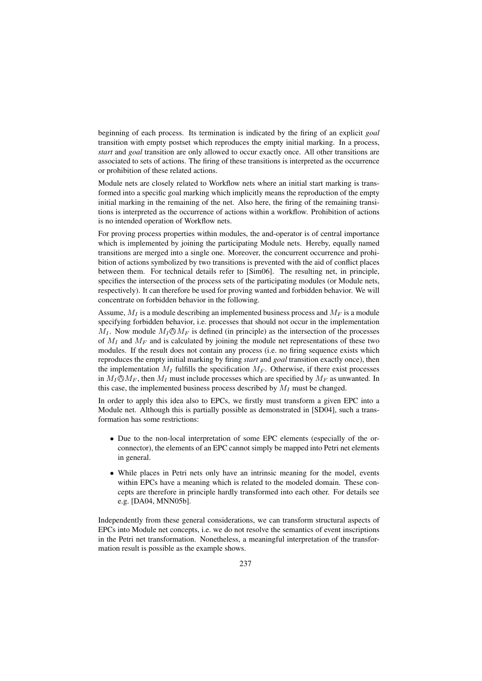beginning of each process. Its termination is indicated by the firing of an explicit *goal* transition with empty postset which reproduces the empty initial marking. In a process, *start* and *goal* transition are only allowed to occur exactly once. All other transitions are associated to sets of actions. The firing of these transitions is interpreted as the occurrence or prohibition of these related actions.

Module nets are closely related to Workflow nets where an initial start marking is transformed into a specific goal marking which implicitly means the reproduction of the empty initial marking in the remaining of the net. Also here, the firing of the remaining transitions is interpreted as the occurrence of actions within a workflow. Prohibition of actions is no intended operation of Workflow nets.

For proving process properties within modules, the and-operator is of central importance which is implemented by joining the participating Module nets. Hereby, equally named transitions are merged into a single one. Moreover, the concurrent occurrence and prohibition of actions symbolized by two transitions is prevented with the aid of conflict places between them. For technical details refer to [Sim06]. The resulting net, in principle, specifies the intersection of the process sets of the participating modules (or Module nets, respectively). It can therefore be used for proving wanted and forbidden behavior. We will concentrate on forbidden behavior in the following.

Assume,  $M_I$  is a module describing an implemented business process and  $M_F$  is a module specifying forbidden behavior, i.e. processes that should not occur in the implementation  $M_I$ . Now module  $M_I \mathcal{O} M_F$  is defined (in principle) as the intersection of the processes of  $M_I$  and  $M_F$  and is calculated by joining the module net representations of these two modules. If the result does not contain any process (i.e. no firing sequence exists which reproduces the empty initial marking by firing *start* and *goal* transition exactly once), then the implementation  $M_I$  fulfills the specification  $M_F$ . Otherwise, if there exist processes in  $M_I \mathbb{O} M_F$ , then  $M_I$  must include processes which are specified by  $M_F$  as unwanted. In this case, the implemented business process described by  $M_I$  must be changed.

In order to apply this idea also to EPCs, we firstly must transform a given EPC into a Module net. Although this is partially possible as demonstrated in [SD04], such a transformation has some restrictions:

- Due to the non-local interpretation of some EPC elements (especially of the orconnector), the elements of an EPC cannot simply be mapped into Petri net elements in general.
- While places in Petri nets only have an intrinsic meaning for the model, events within EPCs have a meaning which is related to the modeled domain. These concepts are therefore in principle hardly transformed into each other. For details see e.g. [DA04, MNN05b].

Independently from these general considerations, we can transform structural aspects of EPCs into Module net concepts, i.e. we do not resolve the semantics of event inscriptions in the Petri net transformation. Nonetheless, a meaningful interpretation of the transformation result is possible as the example shows.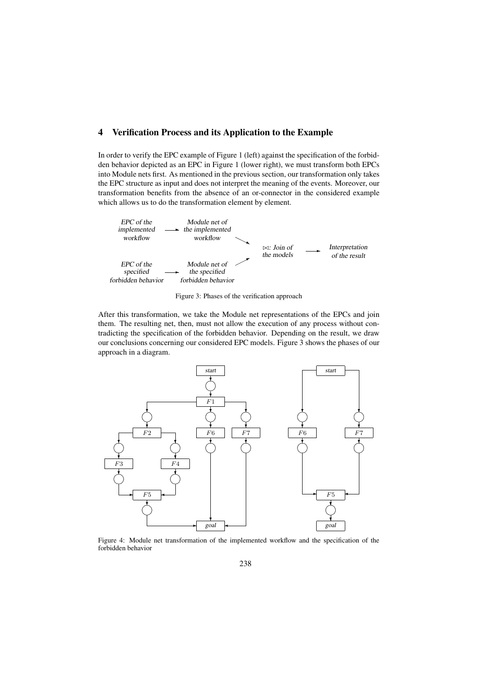### **4 Verification Process and its Application to the Example**

In order to verify the EPC example of Figure 1 (left) against the specification of the forbidden behavior depicted as an EPC in Figure 1 (lower right), we must transform both EPCs into Module nets first. As mentioned in the previous section, our transformation only takes the EPC structure as input and does not interpret the meaning of the events. Moreover, our transformation benefits from the absence of an or-connector in the considered example which allows us to do the transformation element by element.



Figure 3: Phases of the verification approach

After this transformation, we take the Module net representations of the EPCs and join them. The resulting net, then, must not allow the execution of any process without contradicting the specification of the forbidden behavior. Depending on the result, we draw our conclusions concerning our considered EPC models. Figure 3 shows the phases of our approach in a diagram.



Figure 4: Module net transformation of the implemented workflow and the specification of the forbidden behavior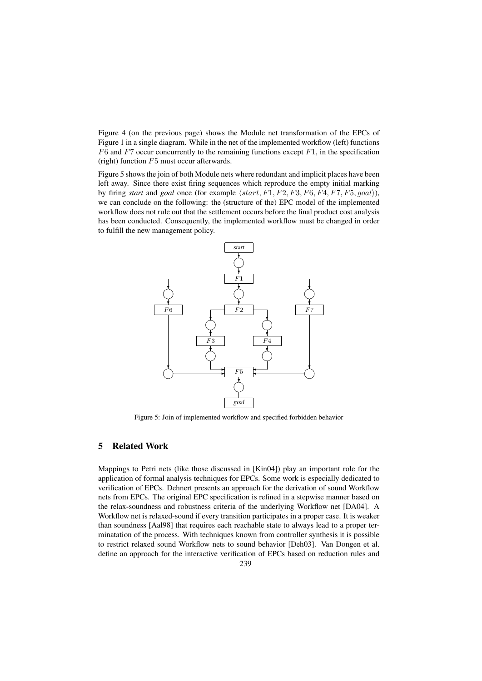Figure 4 (on the previous page) shows the Module net transformation of the EPCs of Figure 1 in a single diagram. While in the net of the implemented workflow (left) functions *F*6 and *F*7 occur concurrently to the remaining functions except *F*1, in the specification (right) function *F*5 must occur afterwards.

Figure 5 shows the join of both Module nets where redundant and implicit places have been left away. Since there exist firing sequences which reproduce the empty initial marking by firing *start* and *goal* once (for example ⟨*start, F*1*, F*2*, F*3*, F*6*, F*4*, F*7*, F*5*, goal*⟩), we can conclude on the following: the (structure of the) EPC model of the implemented workflow does not rule out that the settlement occurs before the final product cost analysis has been conducted. Consequently, the implemented workflow must be changed in order to fulfill the new management policy.



Figure 5: Join of implemented workflow and specified forbidden behavior

### **5 Related Work**

Mappings to Petri nets (like those discussed in [Kin04]) play an important role for the application of formal analysis techniques for EPCs. Some work is especially dedicated to verification of EPCs. Dehnert presents an approach for the derivation of sound Workflow nets from EPCs. The original EPC specification is refined in a stepwise manner based on the relax-soundness and robustness criteria of the underlying Workflow net [DA04]. A Workflow net is relaxed-sound if every transition participates in a proper case. It is weaker than soundness [Aal98] that requires each reachable state to always lead to a proper terminatation of the process. With techniques known from controller synthesis it is possible to restrict relaxed sound Workflow nets to sound behavior [Deh03]. Van Dongen et al. define an approach for the interactive verification of EPCs based on reduction rules and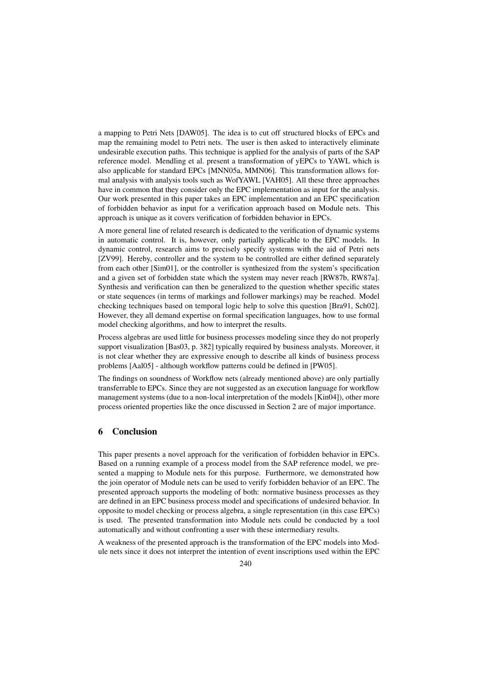a mapping to Petri Nets [DAW05]. The idea is to cut off structured blocks of EPCs and map the remaining model to Petri nets. The user is then asked to interactively eliminate undesirable execution paths. This technique is applied for the analysis of parts of the SAP reference model. Mendling et al. present a transformation of yEPCs to YAWL which is also applicable for standard EPCs [MNN05a, MMN06]. This transformation allows formal analysis with analysis tools such as WofYAWL [VAH05]. All these three approaches have in common that they consider only the EPC implementation as input for the analysis. Our work presented in this paper takes an EPC implementation and an EPC specification of forbidden behavior as input for a verification approach based on Module nets. This approach is unique as it covers verification of forbidden behavior in EPCs.

A more general line of related research is dedicated to the verification of dynamic systems in automatic control. It is, however, only partially applicable to the EPC models. In dynamic control, research aims to precisely specify systems with the aid of Petri nets [ZV99]. Hereby, controller and the system to be controlled are either defined separately from each other [Sim01], or the controller is synthesized from the system's specification and a given set of forbidden state which the system may never reach [RW87b, RW87a]. Synthesis and verification can then be generalized to the question whether specific states or state sequences (in terms of markings and follower markings) may be reached. Model checking techniques based on temporal logic help to solve this question [Bra91, Sch02]. However, they all demand expertise on formal specification languages, how to use formal model checking algorithms, and how to interpret the results.

Process algebras are used little for business processes modeling since they do not properly support visualization [Bas03, p. 382] typically required by business analysts. Moreover, it is not clear whether they are expressive enough to describe all kinds of business process problems [Aal05] - although workflow patterns could be defined in [PW05].

The findings on soundness of Workflow nets (already mentioned above) are only partially transferrable to EPCs. Since they are not suggested as an execution language for workflow management systems (due to a non-local interpretation of the models [Kin04]), other more process oriented properties like the once discussed in Section 2 are of major importance.

### **6 Conclusion**

This paper presents a novel approach for the verification of forbidden behavior in EPCs. Based on a running example of a process model from the SAP reference model, we presented a mapping to Module nets for this purpose. Furthermore, we demonstrated how the join operator of Module nets can be used to verify forbidden behavior of an EPC. The presented approach supports the modeling of both: normative business processes as they are defined in an EPC business process model and specifications of undesired behavior. In opposite to model checking or process algebra, a single representation (in this case EPCs) is used. The presented transformation into Module nets could be conducted by a tool automatically and without confronting a user with these intermediary results.

A weakness of the presented approach is the transformation of the EPC models into Module nets since it does not interpret the intention of event inscriptions used within the EPC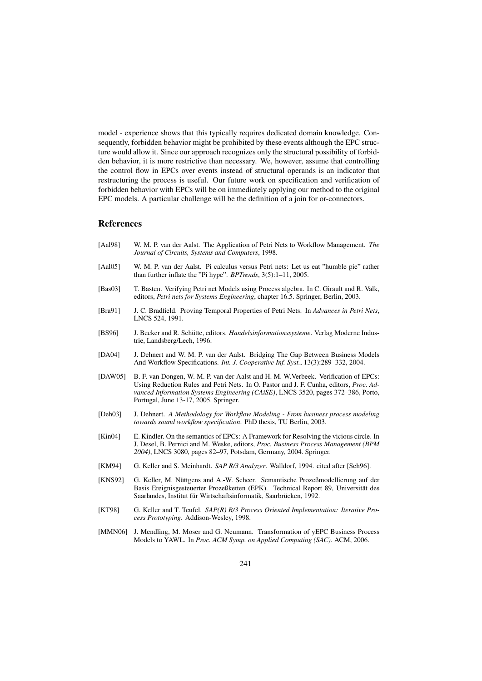model - experience shows that this typically requires dedicated domain knowledge. Consequently, forbidden behavior might be prohibited by these events although the EPC structure would allow it. Since our approach recognizes only the structural possibility of forbidden behavior, it is more restrictive than necessary. We, however, assume that controlling the control flow in EPCs over events instead of structural operands is an indicator that restructuring the process is useful. Our future work on specification and verification of forbidden behavior with EPCs will be on immediately applying our method to the original EPC models. A particular challenge will be the definition of a join for or-connectors.

#### **References**

- [Aal98] W. M. P. van der Aalst. The Application of Petri Nets to Workflow Management. *The Journal of Circuits, Systems and Computers*, 1998.
- [Aal05] W. M. P. van der Aalst. Pi calculus versus Petri nets: Let us eat "humble pie" rather than further inflate the "Pi hype". *BPTrends*, 3(5):1–11, 2005.
- [Bas03] T. Basten. Verifying Petri net Models using Process algebra. In C. Girault and R. Valk, editors, *Petri nets for Systems Engineering*, chapter 16.5. Springer, Berlin, 2003.
- [Bra91] J. C. Bradfield. Proving Temporal Properties of Petri Nets. In *Advances in Petri Nets*, LNCS 524, 1991.
- [BS96] J. Becker and R. Schütte, editors. *Handelsinformationssysteme*. Verlag Moderne Industrie, Landsberg/Lech, 1996.
- [DA04] J. Dehnert and W. M. P. van der Aalst. Bridging The Gap Between Business Models And Workflow Specifications. *Int. J. Cooperative Inf. Syst.*, 13(3):289–332, 2004.
- [DAW05] B. F. van Dongen, W. M. P. van der Aalst and H. M. W.Verbeek. Verification of EPCs: Using Reduction Rules and Petri Nets. In O. Pastor and J. F. Cunha, editors, *Proc. Advanced Information Systems Engineering (CAiSE)*, LNCS 3520, pages 372–386, Porto, Portugal, June 13-17, 2005. Springer.
- [Deh03] J. Dehnert. *A Methodology for Workflow Modeling From business process modeling towards sound workflow specification*. PhD thesis, TU Berlin, 2003.
- [Kin04] E. Kindler. On the semantics of EPCs: A Framework for Resolving the vicious circle. In J. Desel, B. Pernici and M. Weske, editors, *Proc. Business Process Management (BPM 2004)*, LNCS 3080, pages 82–97, Potsdam, Germany, 2004. Springer.
- [KM94] G. Keller and S. Meinhardt. *SAP R/3 Analyzer*. Walldorf, 1994. cited after [Sch96].
- [KNS92] G. Keller, M. Nüttgens and A.-W. Scheer. Semantische Prozeßmodellierung auf der Basis Ereignisgesteuerter Prozeßketten (EPK). Technical Report 89, Universitat des ¨ Saarlandes, Institut für Wirtschaftsinformatik, Saarbrücken, 1992.
- [KT98] G. Keller and T. Teufel. *SAP(R) R/3 Process Oriented Implementation: Iterative Process Prototyping*. Addison-Wesley, 1998.
- [MMN06] J. Mendling, M. Moser and G. Neumann. Transformation of yEPC Business Process Models to YAWL. In *Proc. ACM Symp. on Applied Computing (SAC)*. ACM, 2006.